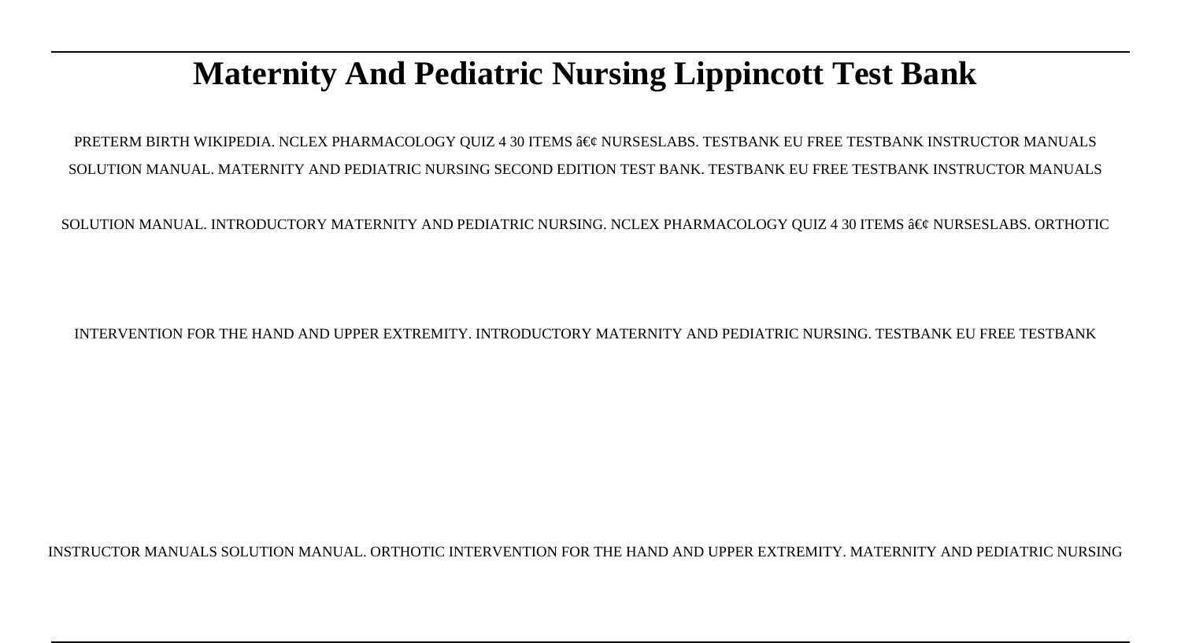# **Maternity And Pediatric Nursing Lippincott Test Bank**

PRETERM BIRTH WIKIPEDIA. NCLEX PHARMACOLOGY OUIZ 4 30 ITEMS • NURSESLABS. TESTBANK EU FREE TESTBANK INSTRUCTOR MANUALS SOLUTION MANUAL. MATERNITY AND PEDIATRIC NURSING SECOND EDITION TEST BANK. TESTBANK EU FREE TESTBANK INSTRUCTOR MANUALS

SOLUTION MANUAL. INTRODUCTORY MATERNITY AND PEDIATRIC NURSING. NCLEX PHARMACOLOGY QUIZ 4 30 ITEMS  $\hat{\mathbf{a}} \in \hat{\mathbf{c}}$  NURSESLABS. ORTHOTIC

INTERVENTION FOR THE HAND AND UPPER EXTREMITY. INTRODUCTORY MATERNITY AND PEDIATRIC NURSING. TESTBANK EU FREE TESTBANK

INSTRUCTOR MANUALS SOLUTION MANUAL. ORTHOTIC INTERVENTION FOR THE HAND AND UPPER EXTREMITY. MATERNITY AND PEDIATRIC NURSING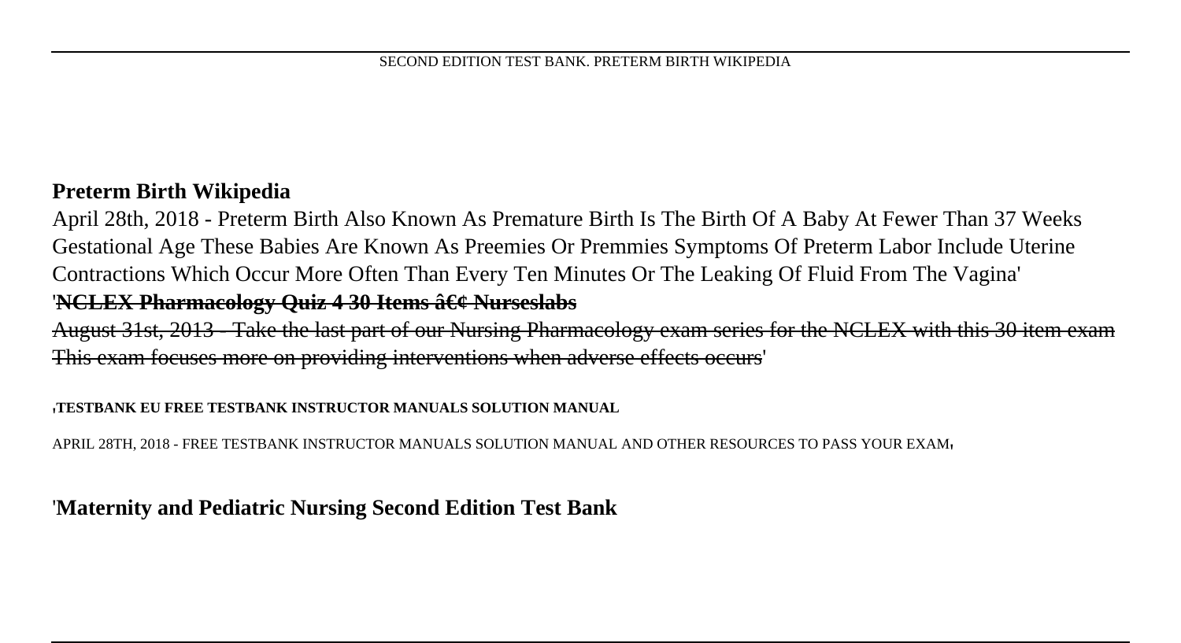#### **Preterm Birth Wikipedia**

April 28th, 2018 - Preterm Birth Also Known As Premature Birth Is The Birth Of A Baby At Fewer Than 37 Weeks Gestational Age These Babies Are Known As Preemies Or Premmies Symptoms Of Preterm Labor Include Uterine Contractions Which Occur More Often Than Every Ten Minutes Or The Leaking Of Fluid From The Vagina' '**NCLEX Pharmacology Quiz 4 30 Items â**  $\epsilon$  & Nurseslabs

August 31st, 2013 - Take the last part of our Nursing Pharmacology exam series for the NCLEX with this 30 item exam This exam focuses more on providing interventions when adverse effects occurs'

#### '**TESTBANK EU FREE TESTBANK INSTRUCTOR MANUALS SOLUTION MANUAL**

APRIL 28TH, 2018 - FREE TESTBANK INSTRUCTOR MANUALS SOLUTION MANUAL AND OTHER RESOURCES TO PASS YOUR EXAM'

#### '**Maternity and Pediatric Nursing Second Edition Test Bank**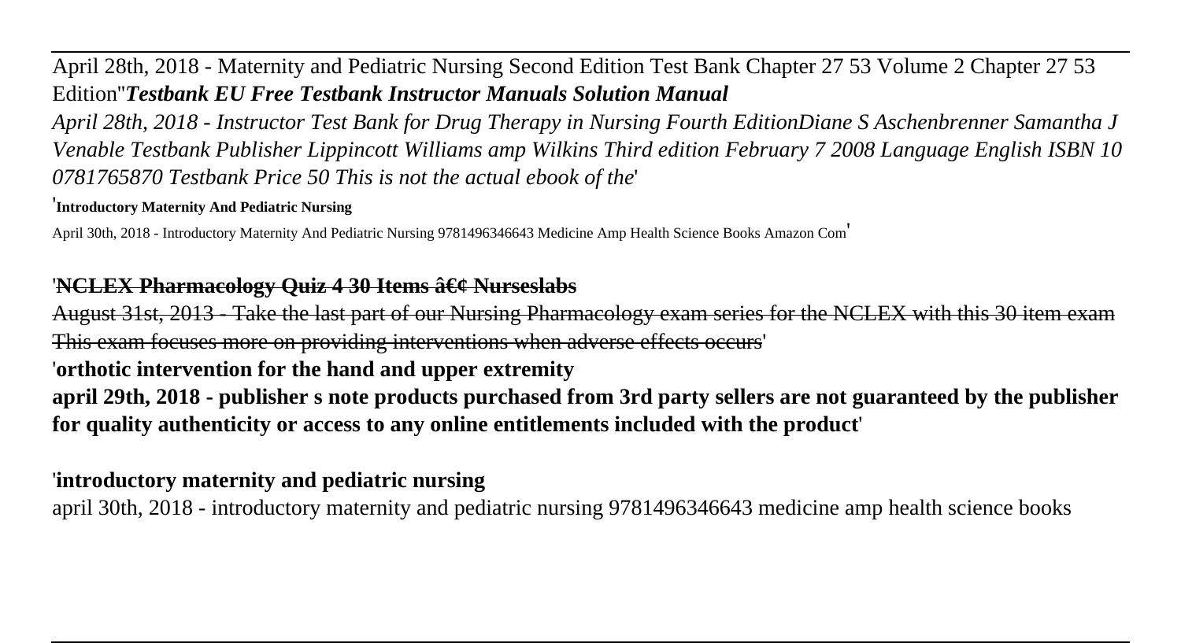April 28th, 2018 - Maternity and Pediatric Nursing Second Edition Test Bank Chapter 27 53 Volume 2 Chapter 27 53 Edition''*Testbank EU Free Testbank Instructor Manuals Solution Manual*

*April 28th, 2018 - Instructor Test Bank for Drug Therapy in Nursing Fourth EditionDiane S Aschenbrenner Samantha J Venable Testbank Publisher Lippincott Williams amp Wilkins Third edition February 7 2008 Language English ISBN 10 0781765870 Testbank Price 50 This is not the actual ebook of the*'

'**Introductory Maternity And Pediatric Nursing**

April 30th, 2018 - Introductory Maternity And Pediatric Nursing 9781496346643 Medicine Amp Health Science Books Amazon Com'

#### 'NCLEX Pharmacology Ouiz 4 30 Items  $\hat{a} \in \mathcal{C}$  Nurseslabs

August 31st, 2013 - Take the last part of our Nursing Pharmacology exam series for the NCLEX with this 30 item exam This exam focuses more on providing interventions when adverse effects occurs'

'**orthotic intervention for the hand and upper extremity**

**april 29th, 2018 - publisher s note products purchased from 3rd party sellers are not guaranteed by the publisher for quality authenticity or access to any online entitlements included with the product**'

### '**introductory maternity and pediatric nursing**

april 30th, 2018 - introductory maternity and pediatric nursing 9781496346643 medicine amp health science books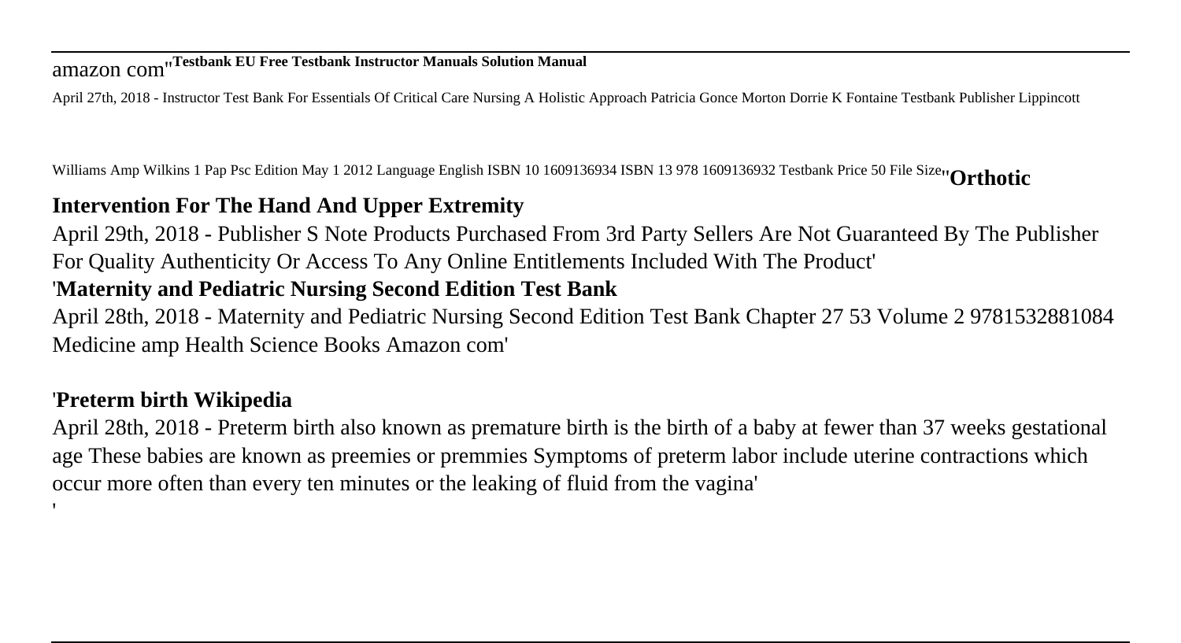# amazon com''**Testbank EU Free Testbank Instructor Manuals Solution Manual**

April 27th, 2018 - Instructor Test Bank For Essentials Of Critical Care Nursing A Holistic Approach Patricia Gonce Morton Dorrie K Fontaine Testbank Publisher Lippincott

Williams Amp Wilkins 1 Pap Psc Edition May 1 2012 Language English ISBN 10 1609136934 ISBN 13 978 1609136932 Testbank Price 50 File Size''**Orthotic**

## **Intervention For The Hand And Upper Extremity**

April 29th, 2018 - Publisher S Note Products Purchased From 3rd Party Sellers Are Not Guaranteed By The Publisher For Quality Authenticity Or Access To Any Online Entitlements Included With The Product'

### '**Maternity and Pediatric Nursing Second Edition Test Bank**

April 28th, 2018 - Maternity and Pediatric Nursing Second Edition Test Bank Chapter 27 53 Volume 2 9781532881084 Medicine amp Health Science Books Amazon com'

# '**Preterm birth Wikipedia**

'

April 28th, 2018 - Preterm birth also known as premature birth is the birth of a baby at fewer than 37 weeks gestational age These babies are known as preemies or premmies Symptoms of preterm labor include uterine contractions which occur more often than every ten minutes or the leaking of fluid from the vagina'